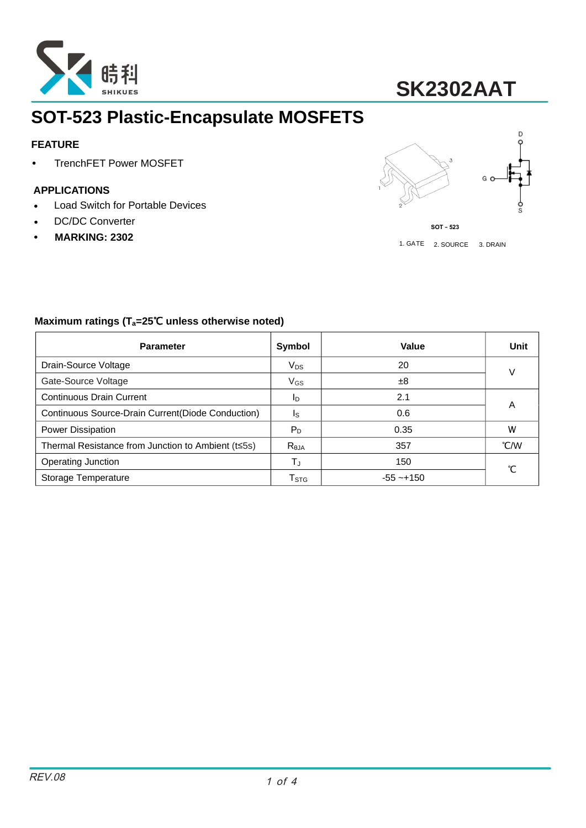

# **SK2302AAT**

## **SOT-523 Plastic-Encapsulate MOSFETS**

#### **FEATURE**

TrenchFET Power MOSFET  $\bullet$ 

#### **APPLICATIONS**

- Load Switch for Portable Devices
- DC/DC Converter  $\bullet$
- **MARKING: 2302**  $\bullet$



1. GATE 2. SOURCE 3. DRAIN

| <b>Parameter</b>                                   | Symbol                    | Value        | Unit |  |
|----------------------------------------------------|---------------------------|--------------|------|--|
| Drain-Source Voltage                               | V <sub>DS</sub>           | 20           | ν    |  |
| Gate-Source Voltage                                | $V_{GS}$                  | ±8           |      |  |
| <b>Continuous Drain Current</b>                    | ID                        | 2.1          | A    |  |
| Continuous Source-Drain Current(Diode Conduction)  | Is                        | 0.6          |      |  |
| Power Dissipation                                  | $P_D$                     | 0.35         | W    |  |
| Thermal Resistance from Junction to Ambient (t≤5s) | $R_{\theta$ JA            | 357          | °C/W |  |
| Operating Junction                                 | $T_J$                     | 150          | °۲   |  |
| Storage Temperature                                | $\mathsf{T}_{\text{STG}}$ | $-55 - +150$ |      |  |

#### **Maximum ratings (Ta=25**℃ **unless otherwise noted)**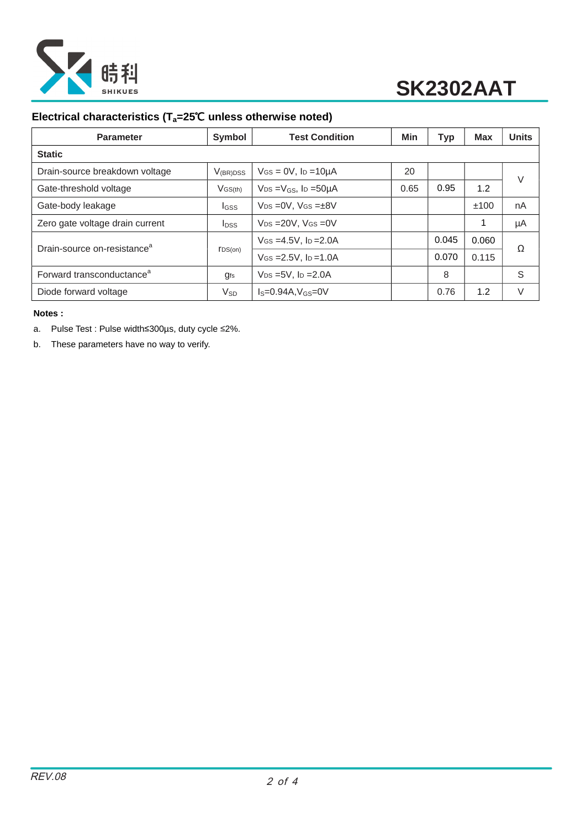

# **SK2302AAT**

### **Electrical characteristics (Ta=25**℃ **unless otherwise noted)**

| <b>Parameter</b>                        | Symbol        | <b>Test Condition</b>                     | Min  | <b>Typ</b> | <b>Max</b> | <b>Units</b> |  |  |  |
|-----------------------------------------|---------------|-------------------------------------------|------|------------|------------|--------------|--|--|--|
| <b>Static</b>                           |               |                                           |      |            |            |              |  |  |  |
| Drain-source breakdown voltage          | $V_{(BR)DSS}$ | 20<br>$V$ GS = 0V, lp = 10µA              |      |            |            | V            |  |  |  |
| Gate-threshold voltage                  | $V$ GS(th)    | $V_{DS} = V_{GS}$ , $I_D = 50 \mu A$      | 0.65 | 0.95       | 1.2        |              |  |  |  |
| Gate-body leakage                       | <b>I</b> GSS  | $V_{DS} = 0V$ , $V_{GS} = \pm 8V$         |      |            | ±100       | nA           |  |  |  |
| Zero gate voltage drain current         | $I_{DSS}$     | $V_{DS} = 20V$ , $V_{GS} = 0V$            |      |            | 1          | μA           |  |  |  |
| Drain-source on-resistance <sup>a</sup> | TDS(on)       | $V$ GS = 4.5V, lp = 2.0A                  |      | 0.045      | 0.060      |              |  |  |  |
|                                         |               | $V$ GS = $2.5V$ , I <sub>D</sub> = $1.0A$ |      | 0.070      | 0.115      | Ω            |  |  |  |
| Forward transconductance <sup>a</sup>   | <b>g</b> fs   | $V_{DS} = 5V$ , $I_D = 2.0A$              |      | 8          |            | S            |  |  |  |
| Diode forward voltage                   | $V_{SD}$      | $IS=0.94A, VGS=0V$                        |      | 0.76       | 1.2        | V            |  |  |  |

#### **Notes :**

a. Pulse Test : Pulse width≤300µs, duty cycle ≤2%.

b. These parameters have no way to verify.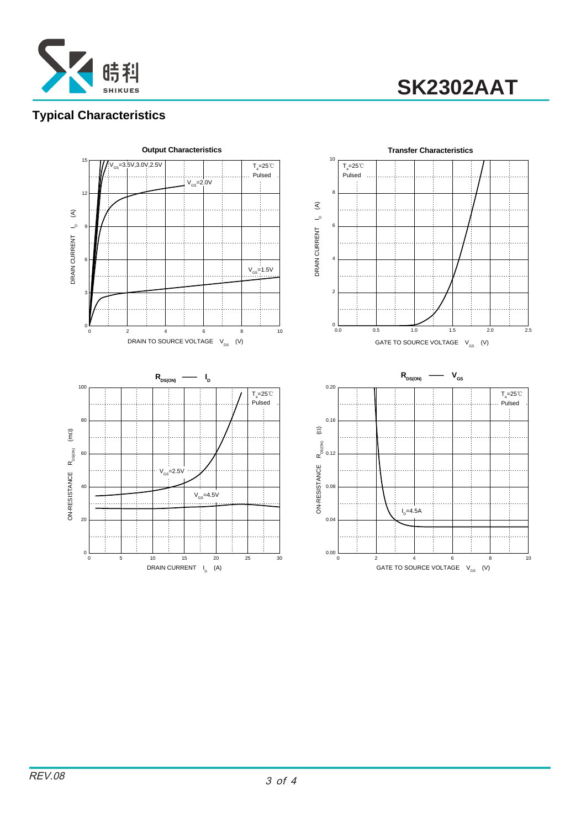

## **SK2302AAT**

### **Typical Characteristics**